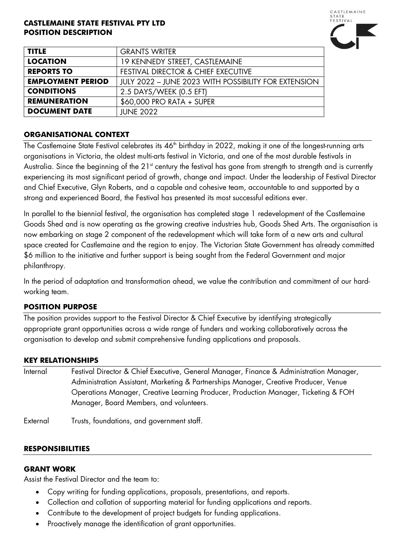### **CASTLEMAINE STATE FESTIVAL PTY LTD POSITION DESCRIPTION**



| <b>TITLE</b>             | <b>GRANTS WRITER</b>                                 |
|--------------------------|------------------------------------------------------|
| <b>LOCATION</b>          | 19 KENNEDY STREET, CASTLEMAINE                       |
| <b>REPORTS TO</b>        | <b>FESTIVAL DIRECTOR &amp; CHIEF EXECUTIVE</b>       |
| <b>EMPLOYMENT PERIOD</b> | JULY 2022 - JUNE 2023 WITH POSSIBILITY FOR EXTENSION |
| <b>CONDITIONS</b>        | 2.5 DAYS/WEEK (0.5 EFT)                              |
| <b>REMUNERATION</b>      | \$60,000 PRO RATA + SUPER                            |
| <b>DOCUMENT DATE</b>     | <b>JUNE 2022</b>                                     |

## **ORGANISATIONAL CONTEXT**

The Castlemaine State Festival celebrates its 46<sup>th</sup> birthday in 2022, making it one of the longest-running arts organisations in Victoria, the oldest multi-arts festival in Victoria, and one of the most durable festivals in Australia. Since the beginning of the 21<sup>st</sup> century the festival has gone from strength to strength and is currently experiencing its most significant period of growth, change and impact. Under the leadership of Festival Director and Chief Executive, Glyn Roberts, and a capable and cohesive team, accountable to and supported by a strong and experienced Board, the Festival has presented its most successful editions ever.

In parallel to the biennial festival, the organisation has completed stage 1 redevelopment of the Castlemaine Goods Shed and is now operating as the growing creative industries hub, Goods Shed Arts. The organisation is now embarking on stage 2 component of the redevelopment which will take form of a new arts and cultural space created for Castlemaine and the region to enjoy. The Victorian State Government has already committed \$6 million to the initiative and further support is being sought from the Federal Government and major philanthropy.

In the period of adaptation and transformation ahead, we value the contribution and commitment of our hardworking team.

# **POSITION PURPOSE**

The position provides support to the Festival Director & Chief Executive by identifying strategically appropriate grant opportunities across a wide range of funders and working collaboratively across the organisation to develop and submit comprehensive funding applications and proposals.

### **KEY RELATIONSHIPS**

| Internal | Festival Director & Chief Executive, General Manager, Finance & Administration Manager, |
|----------|-----------------------------------------------------------------------------------------|
|          | Administration Assistant, Marketing & Partnerships Manager, Creative Producer, Venue    |
|          | Operations Manager, Creative Learning Producer, Production Manager, Ticketing & FOH     |
|          | Manager, Board Members, and volunteers.                                                 |

External Trusts, foundations, and government staff.

### **RESPONSIBILITIES**

### **GRANT WORK**

Assist the Festival Director and the team to:

- Copy writing for funding applications, proposals, presentations, and reports.
- Collection and collation of supporting material for funding applications and reports.
- Contribute to the development of project budgets for funding applications.
- Proactively manage the identification of grant opportunities.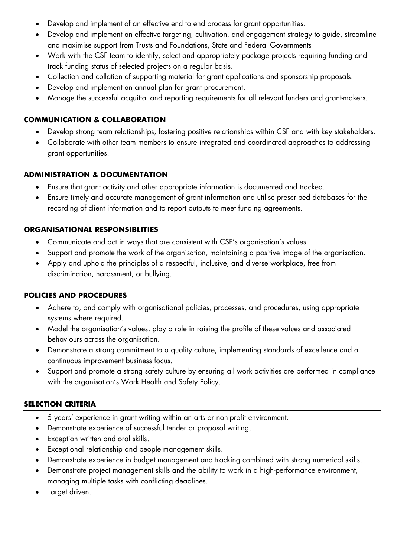- Develop and implement of an effective end to end process for grant opportunities.
- Develop and implement an effective targeting, cultivation, and engagement strategy to guide, streamline and maximise support from Trusts and Foundations, State and Federal Governments
- Work with the CSF team to identify, select and appropriately package projects requiring funding and track funding status of selected projects on a regular basis.
- Collection and collation of supporting material for grant applications and sponsorship proposals.
- Develop and implement an annual plan for grant procurement.
- Manage the successful acquittal and reporting requirements for all relevant funders and grant-makers.

# **COMMUNICATION & COLLABORATION**

- Develop strong team relationships, fostering positive relationships within CSF and with key stakeholders.
- Collaborate with other team members to ensure integrated and coordinated approaches to addressing grant opportunities.

# **ADMINISTRATION & DOCUMENTATION**

- Ensure that grant activity and other appropriate information is documented and tracked.
- Ensure timely and accurate management of grant information and utilise prescribed databases for the recording of client information and to report outputs to meet funding agreements.

# **ORGANISATIONAL RESPONSIBLITIES**

- Communicate and act in ways that are consistent with CSF's organisation's values.
- Support and promote the work of the organisation, maintaining a positive image of the organisation.
- Apply and uphold the principles of a respectful, inclusive, and diverse workplace, free from discrimination, harassment, or bullying.

# **POLICIES AND PROCEDURES**

- Adhere to, and comply with organisational policies, processes, and procedures, using appropriate systems where required.
- Model the organisation's values, play a role in raising the profile of these values and associated behaviours across the organisation.
- Demonstrate a strong commitment to a quality culture, implementing standards of excellence and a continuous improvement business focus.
- Support and promote a strong safety culture by ensuring all work activities are performed in compliance with the organisation's Work Health and Safety Policy.

# **SELECTION CRITERIA**

- 5 years' experience in grant writing within an arts or non-profit environment.
- Demonstrate experience of successful tender or proposal writing.
- Exception written and oral skills.
- Exceptional relationship and people management skills.
- Demonstrate experience in budget management and tracking combined with strong numerical skills.
- Demonstrate project management skills and the ability to work in a high-performance environment, managing multiple tasks with conflicting deadlines.
- Target driven.